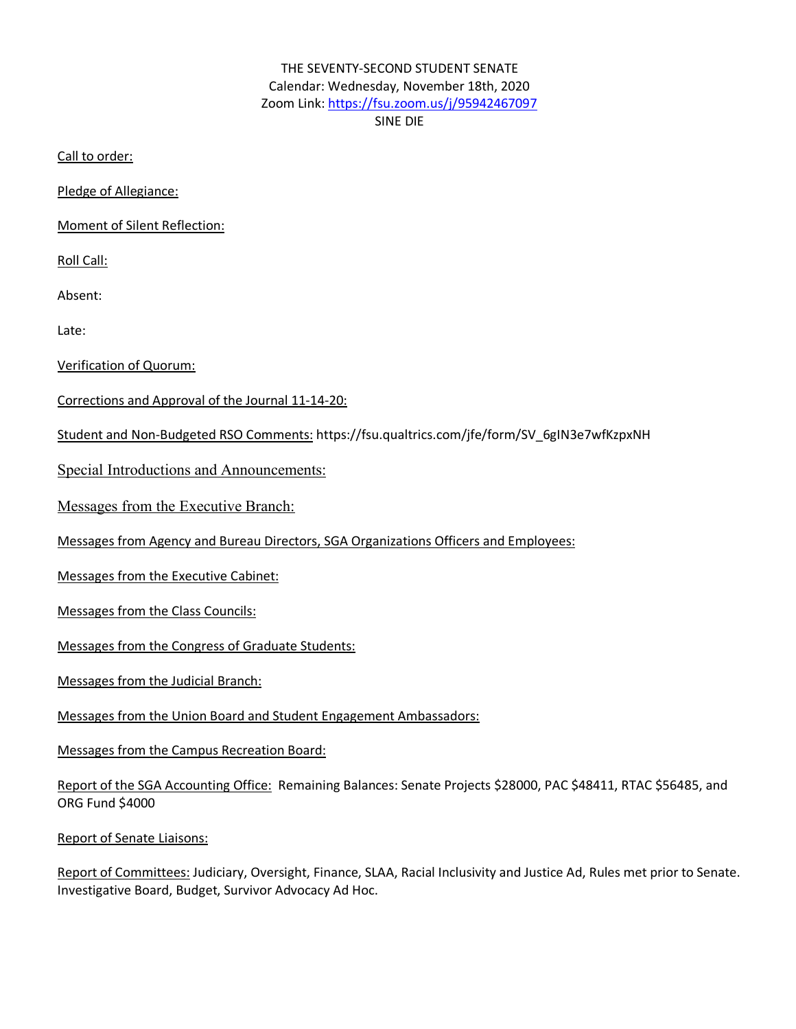# THE SEVENTY-SECOND STUDENT SENATE Calendar: Wednesday, November 18th, 2020 Zoom Link: https://fsu.zoom.us/j/95942467097 SINE DIE

Call to order:

Pledge of Allegiance:

Moment of Silent Reflection:

Roll Call:

Absent:

Late:

Verification of Quorum:

Corrections and Approval of the Journal 11-14-20:

Student and Non-Budgeted RSO Comments: https://fsu.qualtrics.com/jfe/form/SV\_6gIN3e7wfKzpxNH

Special Introductions and Announcements:

Messages from the Executive Branch:

Messages from Agency and Bureau Directors, SGA Organizations Officers and Employees:

Messages from the Executive Cabinet:

Messages from the Class Councils:

Messages from the Congress of Graduate Students:

Messages from the Judicial Branch:

Messages from the Union Board and Student Engagement Ambassadors:

Messages from the Campus Recreation Board:

Report of the SGA Accounting Office: Remaining Balances: Senate Projects \$28000, PAC \$48411, RTAC \$56485, and ORG Fund \$4000

Report of Senate Liaisons:

Report of Committees: Judiciary, Oversight, Finance, SLAA, Racial Inclusivity and Justice Ad, Rules met prior to Senate. Investigative Board, Budget, Survivor Advocacy Ad Hoc.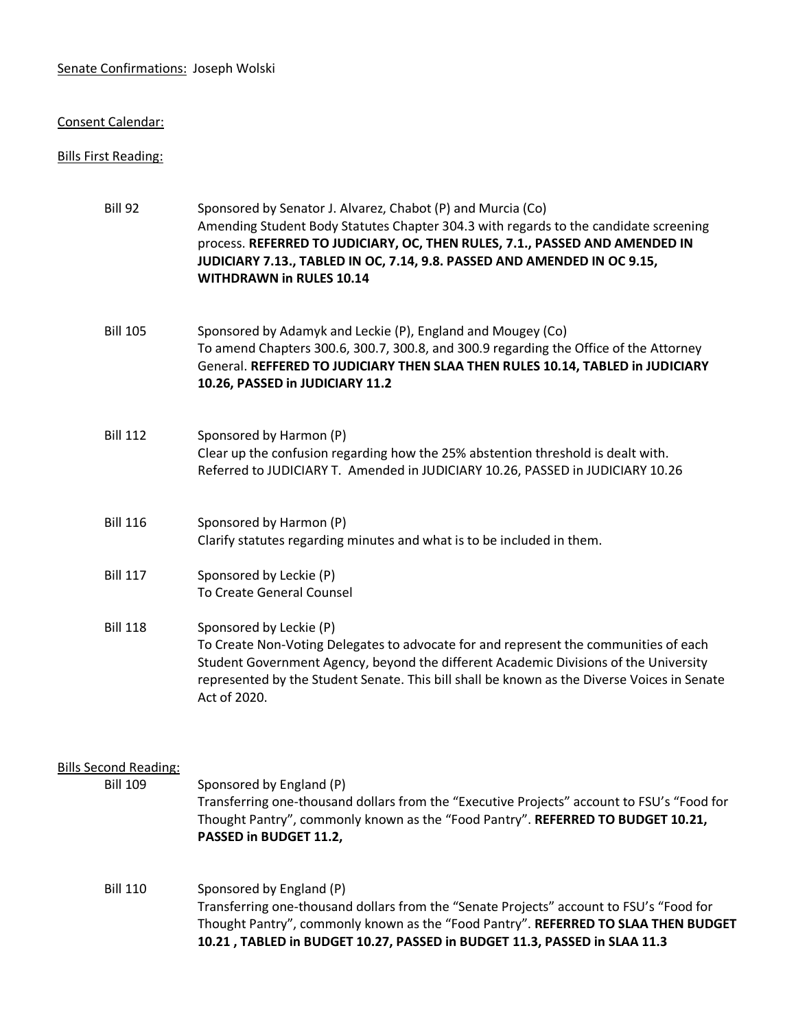#### Senate Confirmations: Joseph Wolski

#### Consent Calendar:

#### Bills First Reading:

| Bill 92                                         | Sponsored by Senator J. Alvarez, Chabot (P) and Murcia (Co)<br>Amending Student Body Statutes Chapter 304.3 with regards to the candidate screening<br>process. REFERRED TO JUDICIARY, OC, THEN RULES, 7.1., PASSED AND AMENDED IN<br>JUDICIARY 7.13., TABLED IN OC, 7.14, 9.8. PASSED AND AMENDED IN OC 9.15,<br><b>WITHDRAWN in RULES 10.14</b> |
|-------------------------------------------------|---------------------------------------------------------------------------------------------------------------------------------------------------------------------------------------------------------------------------------------------------------------------------------------------------------------------------------------------------|
| <b>Bill 105</b>                                 | Sponsored by Adamyk and Leckie (P), England and Mougey (Co)<br>To amend Chapters 300.6, 300.7, 300.8, and 300.9 regarding the Office of the Attorney<br>General. REFFERED TO JUDICIARY THEN SLAA THEN RULES 10.14, TABLED in JUDICIARY<br>10.26, PASSED in JUDICIARY 11.2                                                                         |
| <b>Bill 112</b>                                 | Sponsored by Harmon (P)<br>Clear up the confusion regarding how the 25% abstention threshold is dealt with.<br>Referred to JUDICIARY T. Amended in JUDICIARY 10.26, PASSED in JUDICIARY 10.26                                                                                                                                                     |
| <b>Bill 116</b>                                 | Sponsored by Harmon (P)<br>Clarify statutes regarding minutes and what is to be included in them.                                                                                                                                                                                                                                                 |
| <b>Bill 117</b>                                 | Sponsored by Leckie (P)<br>To Create General Counsel                                                                                                                                                                                                                                                                                              |
| <b>Bill 118</b>                                 | Sponsored by Leckie (P)<br>To Create Non-Voting Delegates to advocate for and represent the communities of each<br>Student Government Agency, beyond the different Academic Divisions of the University<br>represented by the Student Senate. This bill shall be known as the Diverse Voices in Senate<br>Act of 2020.                            |
| <b>Bills Second Reading:</b><br><b>Bill 109</b> | Sponsored by England (P)                                                                                                                                                                                                                                                                                                                          |

Transferring one-thousand dollars from the "Executive Projects" account to FSU's "Food for Thought Pantry", commonly known as the "Food Pantry". **REFERRED TO BUDGET 10.21, PASSED in BUDGET 11.2,**

Bill 110 Sponsored by England (P) Transferring one-thousand dollars from the "Senate Projects" account to FSU's "Food for Thought Pantry", commonly known as the "Food Pantry". **REFERRED TO SLAA THEN BUDGET 10.21 , TABLED in BUDGET 10.27, PASSED in BUDGET 11.3, PASSED in SLAA 11.3**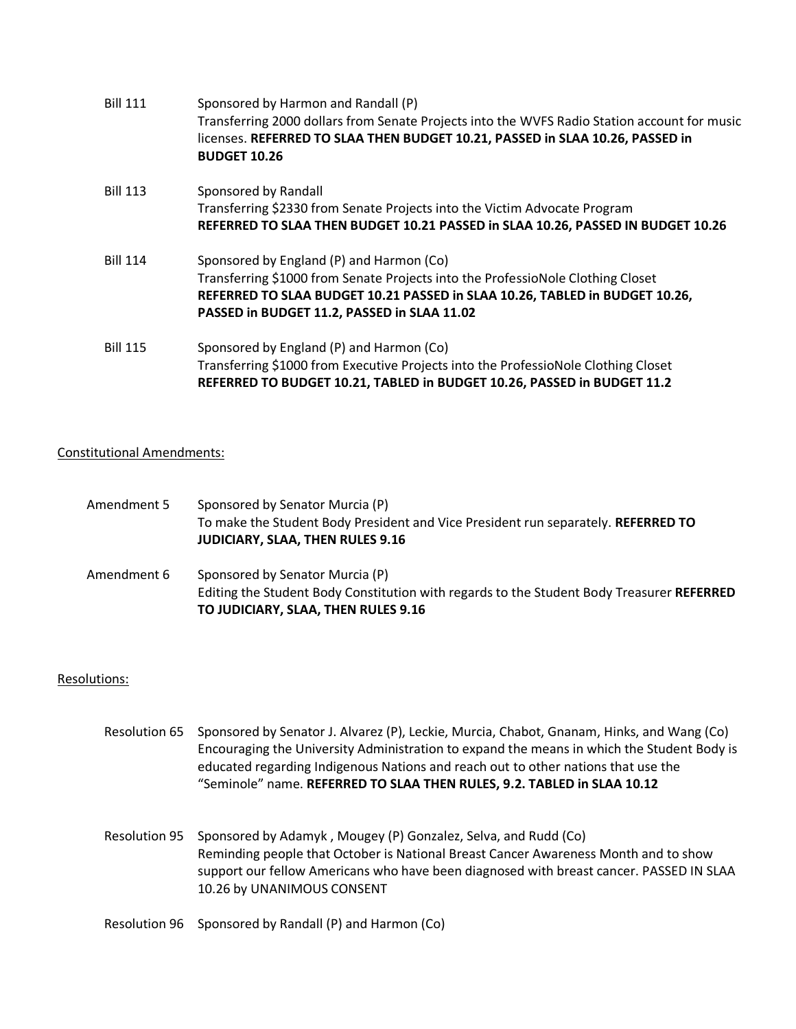| <b>Bill 111</b> | Sponsored by Harmon and Randall (P)<br>Transferring 2000 dollars from Senate Projects into the WVFS Radio Station account for music<br>licenses. REFERRED TO SLAA THEN BUDGET 10.21, PASSED in SLAA 10.26, PASSED in<br><b>BUDGET 10.26</b>               |
|-----------------|-----------------------------------------------------------------------------------------------------------------------------------------------------------------------------------------------------------------------------------------------------------|
| <b>Bill 113</b> | Sponsored by Randall<br>Transferring \$2330 from Senate Projects into the Victim Advocate Program<br>REFERRED TO SLAA THEN BUDGET 10.21 PASSED in SLAA 10.26, PASSED IN BUDGET 10.26                                                                      |
| <b>Bill 114</b> | Sponsored by England (P) and Harmon (Co)<br>Transferring \$1000 from Senate Projects into the ProfessioNole Clothing Closet<br>REFERRED TO SLAA BUDGET 10.21 PASSED in SLAA 10.26, TABLED in BUDGET 10.26,<br>PASSED in BUDGET 11.2, PASSED in SLAA 11.02 |
| <b>Bill 115</b> | Sponsored by England (P) and Harmon (Co)<br>Transferring \$1000 from Executive Projects into the ProfessioNole Clothing Closet<br>REFERRED TO BUDGET 10.21, TABLED in BUDGET 10.26, PASSED in BUDGET 11.2                                                 |

### Constitutional Amendments:

| Amendment 5 | Sponsored by Senator Murcia (P)<br>To make the Student Body President and Vice President run separately. REFERRED TO<br><b>JUDICIARY, SLAA, THEN RULES 9.16</b>     |
|-------------|---------------------------------------------------------------------------------------------------------------------------------------------------------------------|
| Amendment 6 | Sponsored by Senator Murcia (P)<br>Editing the Student Body Constitution with regards to the Student Body Treasurer REFERRED<br>TO JUDICIARY, SLAA, THEN RULES 9.16 |

### Resolutions:

- Resolution 65 Sponsored by Senator J. Alvarez (P), Leckie, Murcia, Chabot, Gnanam, Hinks, and Wang (Co) Encouraging the University Administration to expand the means in which the Student Body is educated regarding Indigenous Nations and reach out to other nations that use the "Seminole" name. **REFERRED TO SLAA THEN RULES, 9.2. TABLED in SLAA 10.12**
- Resolution 95 Sponsored by Adamyk , Mougey (P) Gonzalez, Selva, and Rudd (Co) Reminding people that October is National Breast Cancer Awareness Month and to show support our fellow Americans who have been diagnosed with breast cancer. PASSED IN SLAA 10.26 by UNANIMOUS CONSENT

Resolution 96 Sponsored by Randall (P) and Harmon (Co)